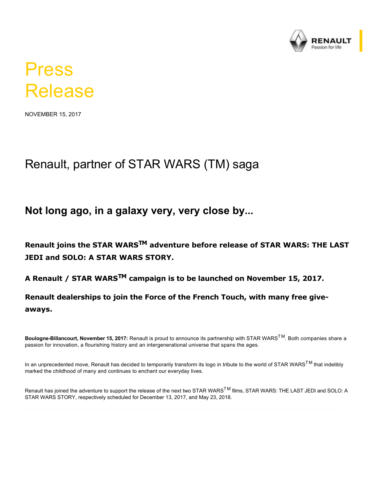

## Press Release

NOVEMBER 15, 2017

## Renault, partner of STAR WARS (TM) saga

## **Not long ago, in a galaxy very, very close by...**

**Renault joins the STAR WARSTM adventure before release of STAR WARS: THE LAST JEDI and SOLO: A STAR WARS STORY.**

**A Renault / STAR WARSTM campaign is to be launched on November 15, 2017.**

**Renault dealerships to join the Force of the French Touch, with many free giveaways.**

Boulogne-Billancourt, November 15, 2017: Renault is proud to announce its partnership with STAR WARS<sup>TM</sup>. Both companies share a passion for innovation, a flourishing history and an intergenerational universe that spans the ages.

In an unprecedented move, Renault has decided to temporarily transform its logo in tribute to the world of STAR WARS<sup>TM</sup> that indelibly marked the childhood of many and continues to enchant our everyday lives.

Renault has joined the adventure to support the release of the next two STAR WARS<sup>™</sup> films, STAR WARS: THE LAST JEDI and SOLO: A STAR WARS STORY, respectively scheduled for December 13, 2017, and May 23, 2018.